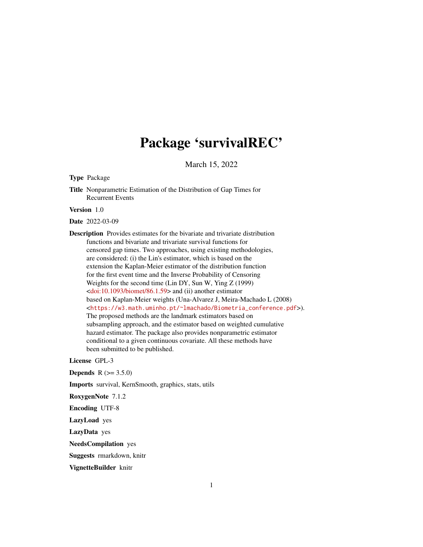# Package 'survivalREC'

March 15, 2022

<span id="page-0-0"></span>Type Package

Title Nonparametric Estimation of the Distribution of Gap Times for Recurrent Events

Version 1.0

Date 2022-03-09

Description Provides estimates for the bivariate and trivariate distribution functions and bivariate and trivariate survival functions for censored gap times. Two approaches, using existing methodologies, are considered: (i) the Lin's estimator, which is based on the extension the Kaplan-Meier estimator of the distribution function for the first event time and the Inverse Probability of Censoring Weights for the second time (Lin DY, Sun W, Ying Z (1999) [<doi:10.1093/biomet/86.1.59>](https://doi.org/10.1093/biomet/86.1.59) and (ii) another estimator based on Kaplan-Meier weights (Una-Alvarez J, Meira-Machado L (2008) <[https://w3.math.uminho.pt/~lmachado/Biometria\\_conference.pdf](https://w3.math.uminho.pt/~lmachado/Biometria_conference.pdf)>). The proposed methods are the landmark estimators based on subsampling approach, and the estimator based on weighted cumulative hazard estimator. The package also provides nonparametric estimator conditional to a given continuous covariate. All these methods have been submitted to be published.

License GPL-3

**Depends** R  $(>= 3.5.0)$ 

Imports survival, KernSmooth, graphics, stats, utils

RoxygenNote 7.1.2

Encoding UTF-8

LazyLoad yes

LazyData yes

NeedsCompilation yes

Suggests rmarkdown, knitr

VignetteBuilder knitr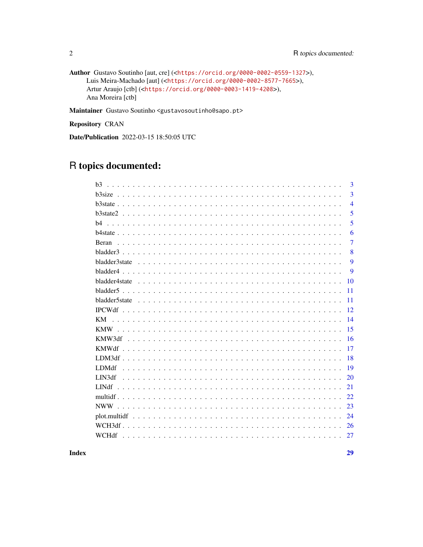```
Author Gustavo Soutinho [aut, cre] (<https://orcid.org/0000-0002-0559-1327>),
     Luis Meira-Machado [aut] (<https://orcid.org/0000-0002-8577-7665>),
     Artur Araujo [ctb] (<https://orcid.org/0000-0003-1419-4208>),
     Ana Moreira [ctb]
```
Maintainer Gustavo Soutinho <gustavosoutinho@sapo.pt>

Repository CRAN

Date/Publication 2022-03-15 18:50:05 UTC

# R topics documented:

| h <sup>3</sup>    | 3              |
|-------------------|----------------|
|                   | 3              |
|                   | $\overline{4}$ |
|                   | 5              |
| h4                | 5              |
|                   | 6              |
| Beran             | $\overline{7}$ |
|                   | 8              |
|                   | 9              |
|                   | 9              |
|                   | 10             |
|                   | 11             |
|                   | 11             |
|                   | 12             |
| KM.               | 14             |
|                   | 15             |
|                   | 16             |
| <b>KMWdf</b>      | 17             |
|                   | 18             |
| LDM <sub>df</sub> | 19             |
| LIN3df            | 20             |
| LIN <sub>df</sub> | 21             |
|                   | 22             |
|                   | 23             |
|                   | 24             |
|                   | 26             |
| WCHdf             | 27             |
|                   |                |

**Index**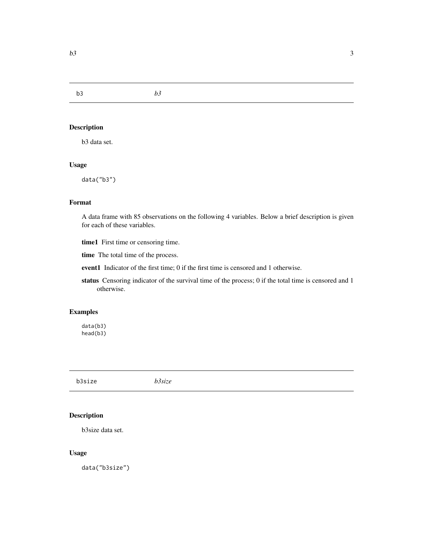<span id="page-2-0"></span>b3 *b3*

### Description

b3 data set.

### Usage

data("b3")

### Format

A data frame with 85 observations on the following 4 variables. Below a brief description is given for each of these variables.

time1 First time or censoring time.

time The total time of the process.

event1 Indicator of the first time; 0 if the first time is censored and 1 otherwise.

status Censoring indicator of the survival time of the process; 0 if the total time is censored and 1 otherwise.

### Examples

data(b3) head(b3)

b3size *b3size*

### Description

b3size data set.

### Usage

data("b3size")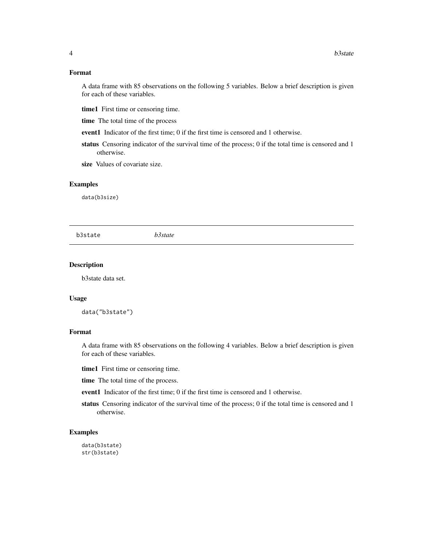### <span id="page-3-0"></span>Format

A data frame with 85 observations on the following 5 variables. Below a brief description is given for each of these variables.

- time1 First time or censoring time.
- time The total time of the process
- event1 Indicator of the first time; 0 if the first time is censored and 1 otherwise.
- status Censoring indicator of the survival time of the process; 0 if the total time is censored and 1 otherwise.
- size Values of covariate size.

#### Examples

data(b3size)

b3state *b3state*

#### Description

b3state data set.

#### Usage

data("b3state")

#### Format

A data frame with 85 observations on the following 4 variables. Below a brief description is given for each of these variables.

time1 First time or censoring time.

time The total time of the process.

- event1 Indicator of the first time; 0 if the first time is censored and 1 otherwise.
- status Censoring indicator of the survival time of the process; 0 if the total time is censored and 1 otherwise.

### Examples

data(b3state) str(b3state)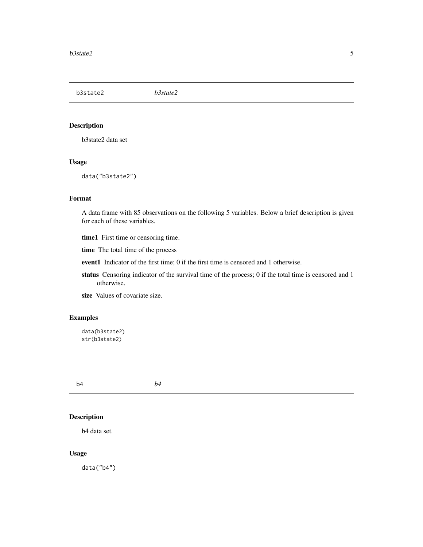<span id="page-4-0"></span>b3state2 *b3state2*

### Description

b3state2 data set

#### Usage

data("b3state2")

### Format

A data frame with 85 observations on the following 5 variables. Below a brief description is given for each of these variables.

time1 First time or censoring time.

time The total time of the process

event1 Indicator of the first time; 0 if the first time is censored and 1 otherwise.

status Censoring indicator of the survival time of the process; 0 if the total time is censored and 1 otherwise.

size Values of covariate size.

### Examples

```
data(b3state2)
str(b3state2)
```
b4 *b4*

### Description

b4 data set.

### Usage

data("b4")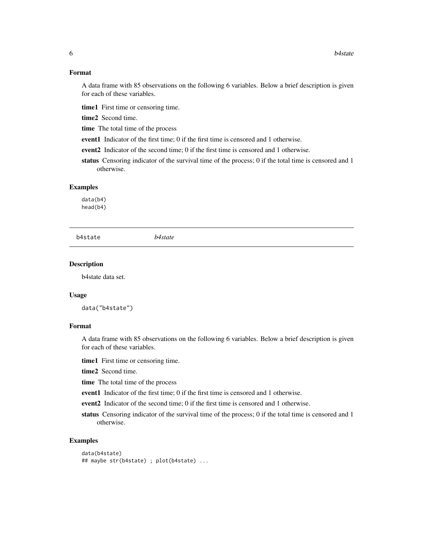### Format

A data frame with 85 observations on the following 6 variables. Below a brief description is given for each of these variables.

time1 First time or censoring time.

time2 Second time.

time The total time of the process

event1 Indicator of the first time; 0 if the first time is censored and 1 otherwise.

event2 Indicator of the second time; 0 if the first time is censored and 1 otherwise.

status Censoring indicator of the survival time of the process; 0 if the total time is censored and 1 otherwise.

#### Examples

data(b4) head(b4)

b4state *b4state*

#### Description

b4state data set.

#### Usage

data("b4state")

### Format

A data frame with 85 observations on the following 6 variables. Below a brief description is given for each of these variables.

time1 First time or censoring time.

time2 Second time.

time The total time of the process

event1 Indicator of the first time; 0 if the first time is censored and 1 otherwise.

event2 Indicator of the second time; 0 if the first time is censored and 1 otherwise.

status Censoring indicator of the survival time of the process; 0 if the total time is censored and 1 otherwise.

### Examples

```
data(b4state)
## maybe str(b4state) ; plot(b4state) ...
```
<span id="page-5-0"></span>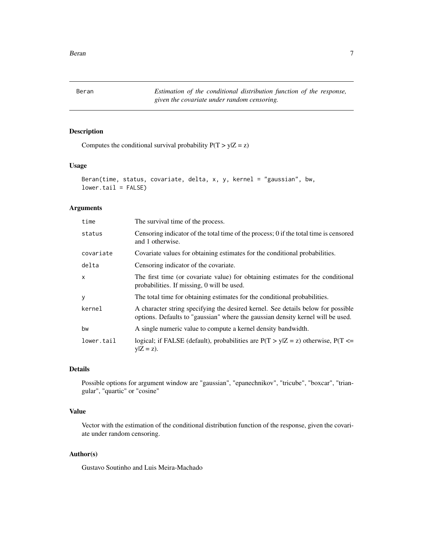<span id="page-6-0"></span>Beran *Estimation of the conditional distribution function of the response, given the covariate under random censoring.*

### Description

Computes the conditional survival probability  $P(T > y|Z = z)$ 

#### Usage

```
Beran(time, status, covariate, delta, x, y, kernel = "gaussian", bw,
lower.tail = FALSE)
```
#### Arguments

| time         | The survival time of the process.                                                                                                                                   |
|--------------|---------------------------------------------------------------------------------------------------------------------------------------------------------------------|
| status       | Censoring indicator of the total time of the process; 0 if the total time is censored<br>and 1 otherwise.                                                           |
| covariate    | Covariate values for obtaining estimates for the conditional probabilities.                                                                                         |
| delta        | Censoring indicator of the covariate.                                                                                                                               |
| $\mathsf{x}$ | The first time (or covariate value) for obtaining estimates for the conditional<br>probabilities. If missing, 0 will be used.                                       |
| У            | The total time for obtaining estimates for the conditional probabilities.                                                                                           |
| kernel       | A character string specifying the desired kernel. See details below for possible<br>options. Defaults to "gaussian" where the gaussian density kernel will be used. |
| bw           | A single numeric value to compute a kernel density bandwidth.                                                                                                       |
| lower.tail   | logical; if FALSE (default), probabilities are $P(T > y Z = z)$ otherwise, $P(T \le z)$<br>$y Z = z$ ).                                                             |

### Details

Possible options for argument window are "gaussian", "epanechnikov", "tricube", "boxcar", "triangular", "quartic" or "cosine"

### Value

Vector with the estimation of the conditional distribution function of the response, given the covariate under random censoring.

#### Author(s)

Gustavo Soutinho and Luis Meira-Machado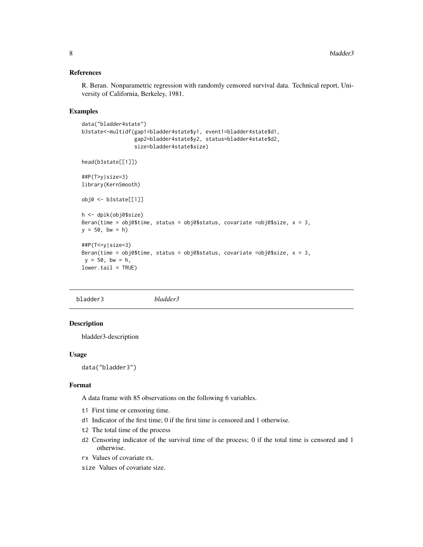#### <span id="page-7-0"></span>References

R. Beran. Nonparametric regression with randomly censored survival data. Technical report, University of California, Berkeley, 1981.

#### Examples

```
data("bladder4state")
b3state<-multidf(gap1=bladder4state$y1, event1=bladder4state$d1,
                 gap2=bladder4state$y2, status=bladder4state$d2,
                 size=bladder4state$size)
head(b3state[[1]])
##P(T>y|size=3)
library(KernSmooth)
obj0 <- b3state[[1]]
h <- dpik(obj0$size)
Beran(time = obj0$time, status = obj0$status, covariate =obj0$size, x = 3,
y = 50, bw = h)
##P(T<=y|size=3)
Beran(time = obj0$time, status = obj0$status, covariate =obj0$size, x = 3,
y = 50, bw = h,
lower.tail = TRUE)
```
bladder3 *bladder3*

## Description

bladder3-description

#### Usage

data("bladder3")

#### Format

A data frame with 85 observations on the following 6 variables.

- t1 First time or censoring time.
- d1 Indicator of the first time; 0 if the first time is censored and 1 otherwise.
- t2 The total time of the process
- d2 Censoring indicator of the survival time of the process; 0 if the total time is censored and 1 otherwise.
- rx Values of covariate rx.
- size Values of covariate size.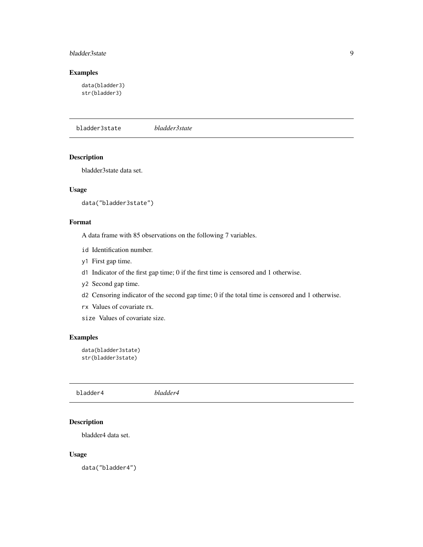#### <span id="page-8-0"></span>bladder3state 9

### Examples

data(bladder3) str(bladder3)

bladder3state *bladder3state*

#### Description

bladder3state data set.

### Usage

```
data("bladder3state")
```
### Format

A data frame with 85 observations on the following 7 variables.

- id Identification number.
- y1 First gap time.
- d1 Indicator of the first gap time; 0 if the first time is censored and 1 otherwise.
- y2 Second gap time.
- d2 Censoring indicator of the second gap time; 0 if the total time is censored and 1 otherwise.
- rx Values of covariate rx.
- size Values of covariate size.

### Examples

```
data(bladder3state)
str(bladder3state)
```
bladder4 *bladder4*

### Description

bladder4 data set.

### Usage

data("bladder4")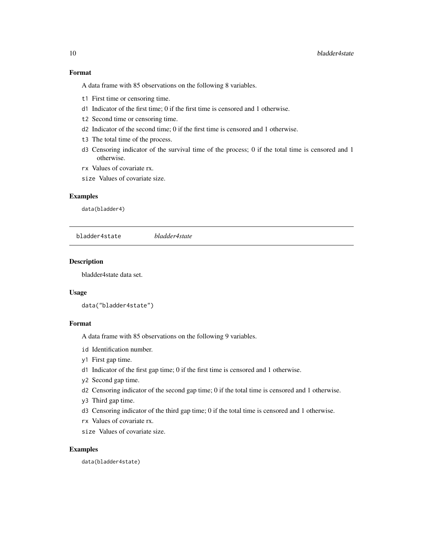### <span id="page-9-0"></span>Format

A data frame with 85 observations on the following 8 variables.

- t1 First time or censoring time.
- d1 Indicator of the first time; 0 if the first time is censored and 1 otherwise.
- t2 Second time or censoring time.
- d2 Indicator of the second time; 0 if the first time is censored and 1 otherwise.
- t3 The total time of the process.
- d3 Censoring indicator of the survival time of the process; 0 if the total time is censored and 1 otherwise.
- rx Values of covariate rx.
- size Values of covariate size.

#### Examples

data(bladder4)

bladder4state *bladder4state*

### Description

bladder4state data set.

### Usage

```
data("bladder4state")
```
### Format

A data frame with 85 observations on the following 9 variables.

- id Identification number.
- y1 First gap time.
- d1 Indicator of the first gap time; 0 if the first time is censored and 1 otherwise.
- y2 Second gap time.
- d2 Censoring indicator of the second gap time; 0 if the total time is censored and 1 otherwise.
- y3 Third gap time.
- d3 Censoring indicator of the third gap time; 0 if the total time is censored and 1 otherwise.
- rx Values of covariate rx.
- size Values of covariate size.

#### Examples

data(bladder4state)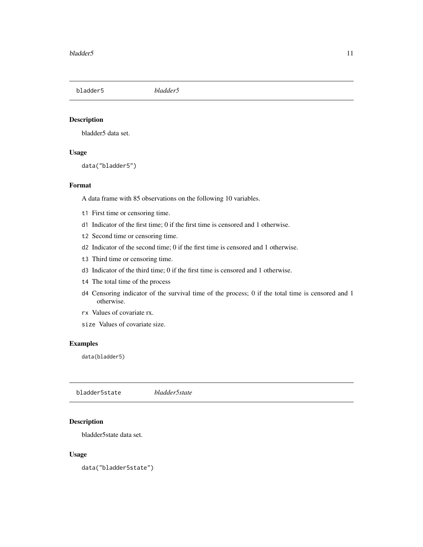<span id="page-10-0"></span>bladder5 *bladder5*

### Description

bladder5 data set.

### Usage

data("bladder5")

#### Format

A data frame with 85 observations on the following 10 variables.

- t1 First time or censoring time.
- d1 Indicator of the first time; 0 if the first time is censored and 1 otherwise.
- t2 Second time or censoring time.
- d2 Indicator of the second time; 0 if the first time is censored and 1 otherwise.
- t3 Third time or censoring time.
- d3 Indicator of the third time; 0 if the first time is censored and 1 otherwise.
- t4 The total time of the process
- d4 Censoring indicator of the survival time of the process; 0 if the total time is censored and 1 otherwise.
- rx Values of covariate rx.
- size Values of covariate size.

#### Examples

data(bladder5)

bladder5state *bladder5state*

### Description

bladder5state data set.

#### Usage

data("bladder5state")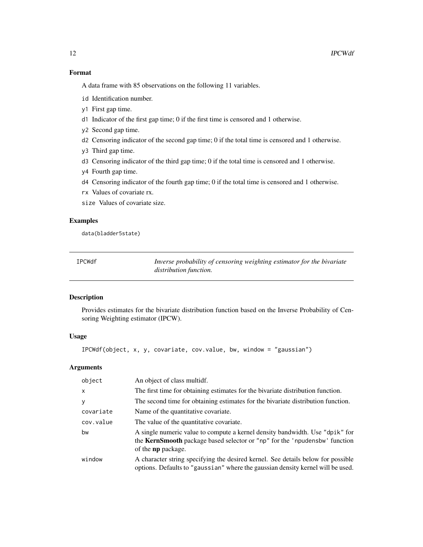### <span id="page-11-0"></span>Format

A data frame with 85 observations on the following 11 variables.

- id Identification number.
- y1 First gap time.
- d1 Indicator of the first gap time; 0 if the first time is censored and 1 otherwise.
- y2 Second gap time.
- d2 Censoring indicator of the second gap time; 0 if the total time is censored and 1 otherwise.
- y3 Third gap time.
- d3 Censoring indicator of the third gap time; 0 if the total time is censored and 1 otherwise.
- y4 Fourth gap time.
- d4 Censoring indicator of the fourth gap time; 0 if the total time is censored and 1 otherwise.
- rx Values of covariate rx.

size Values of covariate size.

### Examples

data(bladder5state)

<span id="page-11-1"></span>IPCWdf *Inverse probability of censoring weighting estimator for the bivariate distribution function.*

#### Description

Provides estimates for the bivariate distribution function based on the Inverse Probability of Censoring Weighting estimator (IPCW).

### Usage

```
IPCWdf(object, x, y, covariate, cov.value, bw, window = "gaussian")
```
### Arguments

| object       | An object of class multidf.                                                                                                                                                                    |
|--------------|------------------------------------------------------------------------------------------------------------------------------------------------------------------------------------------------|
| $\mathsf{x}$ | The first time for obtaining estimates for the bivariate distribution function.                                                                                                                |
| y            | The second time for obtaining estimates for the bivariate distribution function.                                                                                                               |
| covariate    | Name of the quantitative covariate.                                                                                                                                                            |
| cov.value    | The value of the quantitative covariate.                                                                                                                                                       |
| bw           | A single numeric value to compute a kernel density bandwidth. Use "dpik" for<br>the <b>KernSmooth</b> package based selector or "np" for the 'npudensbw' function<br>of the <b>np</b> package. |
| window       | A character string specifying the desired kernel. See details below for possible<br>options. Defaults to "gaussian" where the gaussian density kernel will be used.                            |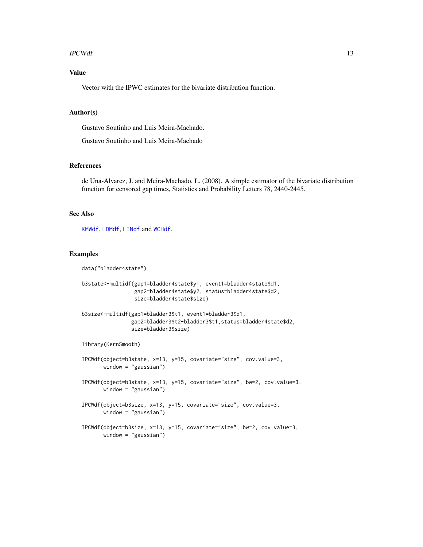#### <span id="page-12-0"></span> $\text{IPCWdf}$  13

### Value

Vector with the IPWC estimates for the bivariate distribution function.

#### Author(s)

Gustavo Soutinho and Luis Meira-Machado.

Gustavo Soutinho and Luis Meira-Machado

#### References

de Una-Alvarez, J. and Meira-Machado, L. (2008). A simple estimator of the bivariate distribution function for censored gap times, Statistics and Probability Letters 78, 2440-2445.

### See Also

[KMWdf](#page-16-1), [LDMdf](#page-18-1), [LINdf](#page-20-1) and [WCHdf](#page-26-1).

#### Examples

data("bladder4state")

```
b3state<-multidf(gap1=bladder4state$y1, event1=bladder4state$d1,
                 gap2=bladder4state$y2, status=bladder4state$d2,
                 size=bladder4state$size)
b3size<-multidf(gap1=bladder3$t1, event1=bladder3$d1,
                gap2=bladder3$t2-bladder3$t1,status=bladder4state$d2,
                size=bladder3$size)
library(KernSmooth)
IPCWdf(object=b3state, x=13, y=15, covariate="size", cov.value=3,
      window = "gaussian")
IPCWdf(object=b3state, x=13, y=15, covariate="size", bw=2, cov.value=3,
      window = "gaussian")
IPCWdf(object=b3size, x=13, y=15, covariate="size", cov.value=3,
      window = "gaussian")
IPCWdf(object=b3size, x=13, y=15, covariate="size", bw=2, cov.value=3,
      window = "gaussian")
```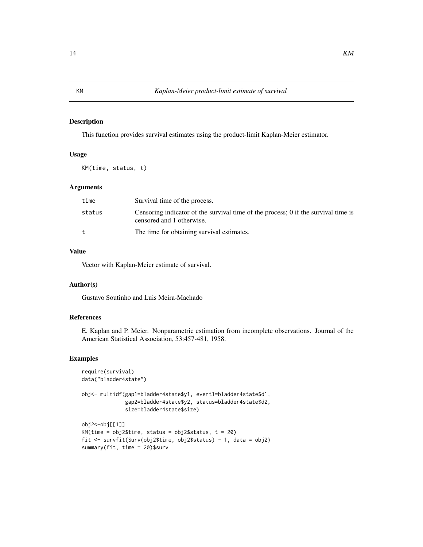### <span id="page-13-0"></span>Description

This function provides survival estimates using the product-limit Kaplan-Meier estimator.

#### Usage

KM(time, status, t)

#### Arguments

| time   | Survival time of the process.                                                                                   |
|--------|-----------------------------------------------------------------------------------------------------------------|
| status | Censoring indicator of the survival time of the process; 0 if the survival time is<br>censored and 1 otherwise. |
| t      | The time for obtaining survival estimates.                                                                      |

### Value

Vector with Kaplan-Meier estimate of survival.

### Author(s)

Gustavo Soutinho and Luis Meira-Machado

### References

E. Kaplan and P. Meier. Nonparametric estimation from incomplete observations. Journal of the American Statistical Association, 53:457-481, 1958.

#### Examples

```
require(survival)
data("bladder4state")
obj<- multidf(gap1=bladder4state$y1, event1=bladder4state$d1,
              gap2=bladder4state$y2, status=bladder4state$d2,
              size=bladder4state$size)
obj2<-obj[[1]]
KM(time = obj2$time, status = obj2$status, t = 20)
fit <- survfit(Surv(obj2$time, obj2$status) ~ 1, data = obj2)
summary(fit, time = 20)$surv
```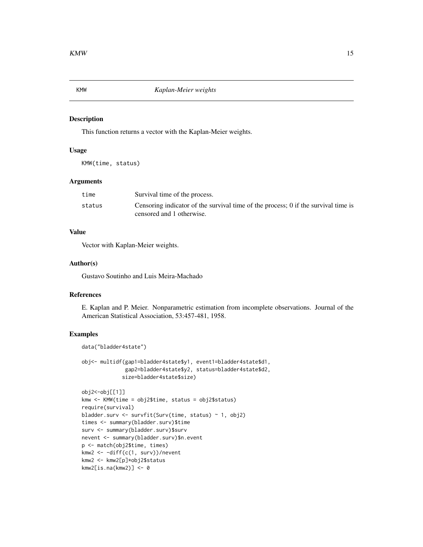<span id="page-14-0"></span>

#### Description

This function returns a vector with the Kaplan-Meier weights.

#### Usage

KMW(time, status)

### Arguments

| time   | Survival time of the process.                                                      |
|--------|------------------------------------------------------------------------------------|
| status | Censoring indicator of the survival time of the process; 0 if the survival time is |
|        | censored and 1 otherwise.                                                          |

### Value

Vector with Kaplan-Meier weights.

#### Author(s)

Gustavo Soutinho and Luis Meira-Machado

### References

E. Kaplan and P. Meier. Nonparametric estimation from incomplete observations. Journal of the American Statistical Association, 53:457-481, 1958.

### Examples

data("bladder4state")

```
obj<- multidf(gap1=bladder4state$y1, event1=bladder4state$d1,
              gap2=bladder4state$y2, status=bladder4state$d2,
             size=bladder4state$size)
```

```
obj2<-obj[[1]]
kmw <- KMW(time = obj2$time, status = obj2$status)
require(survival)
bladder.surv <- survfit(Surv(time, status) ~ 1, obj2)
times <- summary(bladder.surv)$time
surv <- summary(bladder.surv)$surv
nevent <- summary(bladder.surv)$n.event
p <- match(obj2$time, times)
kmw2 <- -diff(c(1, surv))/nevent
kmw2 <- kmw2[p]*obj2$status
kmw2[is.na(kmw2)] <- 0
```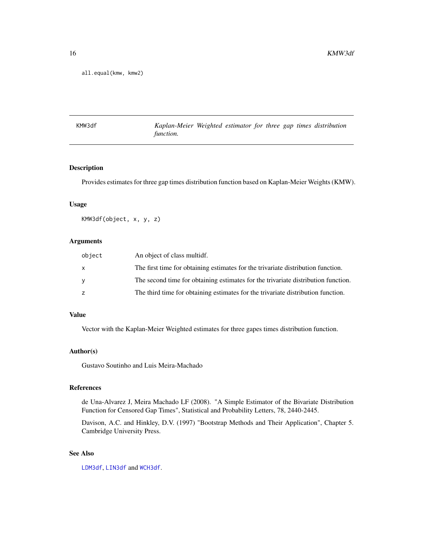<span id="page-15-0"></span>all.equal(kmw, kmw2)

<span id="page-15-1"></span>KMW3df *Kaplan-Meier Weighted estimator for three gap times distribution function.*

### Description

Provides estimates for three gap times distribution function based on Kaplan-Meier Weights (KMW).

### Usage

KMW3df(object, x, y, z)

### Arguments

| object | An object of class multidf.                                                       |
|--------|-----------------------------------------------------------------------------------|
| X      | The first time for obtaining estimates for the trivariate distribution function.  |
| У      | The second time for obtaining estimates for the trivariate distribution function. |
| z      | The third time for obtaining estimates for the trivariate distribution function.  |

### Value

Vector with the Kaplan-Meier Weighted estimates for three gapes times distribution function.

### Author(s)

Gustavo Soutinho and Luis Meira-Machado

### References

de Una-Alvarez J, Meira Machado LF (2008). "A Simple Estimator of the Bivariate Distribution Function for Censored Gap Times", Statistical and Probability Letters, 78, 2440-2445.

Davison, A.C. and Hinkley, D.V. (1997) "Bootstrap Methods and Their Application", Chapter 5. Cambridge University Press.

### See Also

[LDM3df](#page-17-1), [LIN3df](#page-19-1) and [WCH3df](#page-25-1).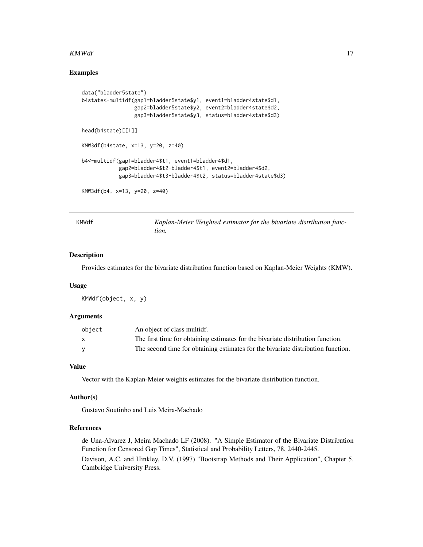#### <span id="page-16-0"></span> $KMWdf$  and the contract of the contract of the contract of the contract of the contract of the contract of the contract of the contract of the contract of the contract of the contract of the contract of the contract of the

### Examples

```
data("bladder5state")
b4state<-multidf(gap1=bladder5state$y1, event1=bladder4state$d1,
                 gap2=bladder5state$y2, event2=bladder4state$d2,
                 gap3=bladder5state$y3, status=bladder4state$d3)
head(b4state)[[1]]
KMW3df(b4state, x=13, y=20, z=40)
b4<-multidf(gap1=bladder4$t1, event1=bladder4$d1,
            gap2=bladder4$t2-bladder4$t1, event2=bladder4$d2,
            gap3=bladder4$t3-bladder4$t2, status=bladder4state$d3)
KMW3df(b4, x=13, y=20, z=40)
```
<span id="page-16-1"></span>

Kaplan-Meier Weighted estimator for the bivariate distribution func*tion.*

### Description

Provides estimates for the bivariate distribution function based on Kaplan-Meier Weights (KMW).

#### Usage

KMWdf(object, x, y)

#### Arguments

| object | An object of class multidf.                                                      |
|--------|----------------------------------------------------------------------------------|
| X      | The first time for obtaining estimates for the bivariate distribution function.  |
| v      | The second time for obtaining estimates for the bivariate distribution function. |

#### Value

Vector with the Kaplan-Meier weights estimates for the bivariate distribution function.

#### Author(s)

Gustavo Soutinho and Luis Meira-Machado

### References

de Una-Alvarez J, Meira Machado LF (2008). "A Simple Estimator of the Bivariate Distribution Function for Censored Gap Times", Statistical and Probability Letters, 78, 2440-2445. Davison, A.C. and Hinkley, D.V. (1997) "Bootstrap Methods and Their Application", Chapter 5. Cambridge University Press.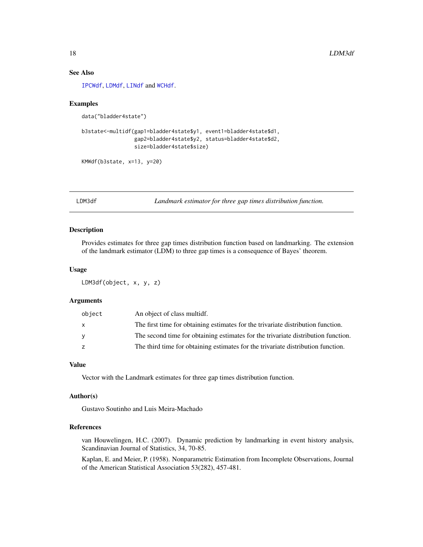### See Also

[IPCWdf](#page-11-1), [LDMdf](#page-18-1), [LINdf](#page-20-1) and [WCHdf](#page-26-1).

#### Examples

```
data("bladder4state")
```

```
b3state<-multidf(gap1=bladder4state$y1, event1=bladder4state$d1,
                 gap2=bladder4state$y2, status=bladder4state$d2,
                 size=bladder4state$size)
```

```
KMWdf(b3state, x=13, y=20)
```
<span id="page-17-1"></span>LDM3df *Landmark estimator for three gap times distribution function.*

#### Description

Provides estimates for three gap times distribution function based on landmarking. The extension of the landmark estimator (LDM) to three gap times is a consequence of Bayes' theorem.

### Usage

```
LDM3df(object, x, y, z)
```
#### Arguments

| object   | An object of class multidf.                                                       |
|----------|-----------------------------------------------------------------------------------|
| X        | The first time for obtaining estimates for the trivariate distribution function.  |
| <b>y</b> | The second time for obtaining estimates for the trivariate distribution function. |
| z        | The third time for obtaining estimates for the trivariate distribution function.  |

### Value

Vector with the Landmark estimates for three gap times distribution function.

### Author(s)

Gustavo Soutinho and Luis Meira-Machado

### References

van Houwelingen, H.C. (2007). Dynamic prediction by landmarking in event history analysis, Scandinavian Journal of Statistics, 34, 70-85.

Kaplan, E. and Meier, P. (1958). Nonparametric Estimation from Incomplete Observations, Journal of the American Statistical Association 53(282), 457-481.

<span id="page-17-0"></span>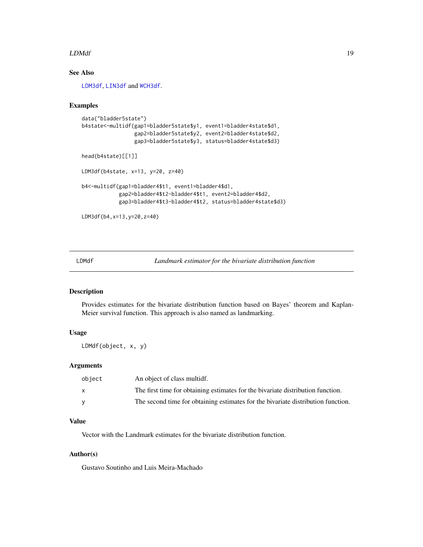#### <span id="page-18-0"></span>LDMdf 19

### See Also

[LDM3df](#page-17-1), [LIN3df](#page-19-1) and [WCH3df](#page-25-1).

#### Examples

```
data("bladder5state")
b4state<-multidf(gap1=bladder5state$y1, event1=bladder4state$d1,
                 gap2=bladder5state$y2, event2=bladder4state$d2,
                 gap3=bladder5state$y3, status=bladder4state$d3)
head(b4state)[[1]]
LDM3df(b4state, x=13, y=20, z=40)
b4<-multidf(gap1=bladder4$t1, event1=bladder4$d1,
            gap2=bladder4$t2-bladder4$t1, event2=bladder4$d2,
            gap3=bladder4$t3-bladder4$t2, status=bladder4state$d3)
LDM3df(b4,x=13,y=20,z=40)
```
<span id="page-18-1"></span>LDMdf *Landmark estimator for the bivariate distribution function*

### Description

Provides estimates for the bivariate distribution function based on Bayes' theorem and Kaplan-Meier survival function. This approach is also named as landmarking.

### Usage

LDMdf(object, x, y)

### Arguments

| object | An object of class multidf.                                                      |
|--------|----------------------------------------------------------------------------------|
|        | The first time for obtaining estimates for the bivariate distribution function.  |
|        | The second time for obtaining estimates for the bivariate distribution function. |

### Value

Vector with the Landmark estimates for the bivariate distribution function.

#### Author(s)

Gustavo Soutinho and Luis Meira-Machado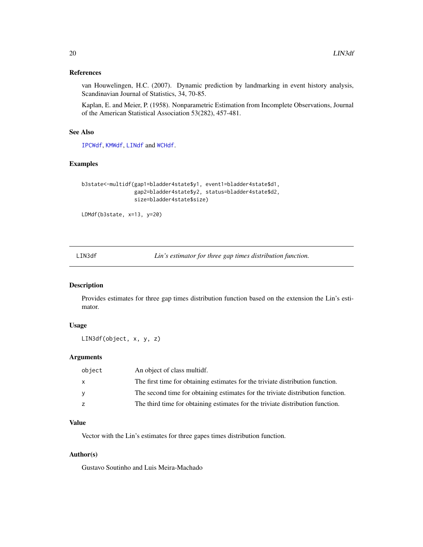### <span id="page-19-0"></span>References

van Houwelingen, H.C. (2007). Dynamic prediction by landmarking in event history analysis, Scandinavian Journal of Statistics, 34, 70-85.

Kaplan, E. and Meier, P. (1958). Nonparametric Estimation from Incomplete Observations, Journal of the American Statistical Association 53(282), 457-481.

#### See Also

[IPCWdf](#page-11-1), [KMWdf](#page-16-1), [LINdf](#page-20-1) and [WCHdf](#page-26-1).

#### Examples

```
b3state<-multidf(gap1=bladder4state$y1, event1=bladder4state$d1,
                 gap2=bladder4state$y2, status=bladder4state$d2,
                 size=bladder4state$size)
```

```
LDMdf(b3state, x=13, y=20)
```
<span id="page-19-1"></span>LIN3df *Lin's estimator for three gap times distribution function.*

### Description

Provides estimates for three gap times distribution function based on the extension the Lin's estimator.

### Usage

```
LIN3df(object, x, y, z)
```
### Arguments

| object | An object of class multidf.                                                     |
|--------|---------------------------------------------------------------------------------|
| X      | The first time for obtaining estimates for the triviate distribution function.  |
| У      | The second time for obtaining estimates for the triviate distribution function. |
| z      | The third time for obtaining estimates for the triviate distribution function.  |

### Value

Vector with the Lin's estimates for three gapes times distribution function.

#### Author(s)

Gustavo Soutinho and Luis Meira-Machado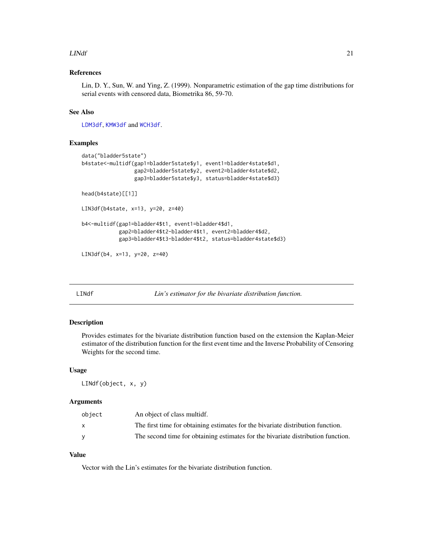#### <span id="page-20-0"></span> $L<sub>IN</sub>df$  21

### References

Lin, D. Y., Sun, W. and Ying, Z. (1999). Nonparametric estimation of the gap time distributions for serial events with censored data, Biometrika 86, 59-70.

### See Also

[LDM3df](#page-17-1), [KMW3df](#page-15-1) and [WCH3df](#page-25-1).

#### Examples

```
data("bladder5state")
b4state<-multidf(gap1=bladder5state$y1, event1=bladder4state$d1,
                 gap2=bladder5state$y2, event2=bladder4state$d2,
                 gap3=bladder5state$y3, status=bladder4state$d3)
head(b4state)[[1]]
LIN3df(b4state, x=13, y=20, z=40)
b4<-multidf(gap1=bladder4$t1, event1=bladder4$d1,
            gap2=bladder4$t2-bladder4$t1, event2=bladder4$d2,
            gap3=bladder4$t3-bladder4$t2, status=bladder4state$d3)
LIN3df(b4, x=13, y=20, z=40)
```
<span id="page-20-1"></span>LINdf *Lin's estimator for the bivariate distribution function.*

#### Description

Provides estimates for the bivariate distribution function based on the extension the Kaplan-Meier estimator of the distribution function for the first event time and the Inverse Probability of Censoring Weights for the second time.

#### Usage

LINdf(object, x, y)

#### Arguments

| object   | An object of class multidf.                                                      |
|----------|----------------------------------------------------------------------------------|
| <b>X</b> | The first time for obtaining estimates for the bivariate distribution function.  |
|          | The second time for obtaining estimates for the bivariate distribution function. |

### Value

Vector with the Lin's estimates for the bivariate distribution function.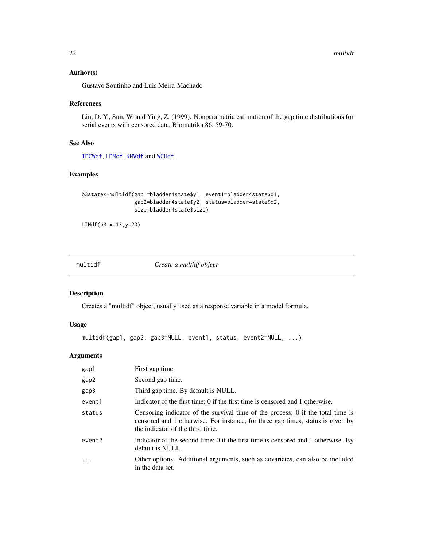### <span id="page-21-0"></span>Author(s)

Gustavo Soutinho and Luis Meira-Machado

### References

Lin, D. Y., Sun, W. and Ying, Z. (1999). Nonparametric estimation of the gap time distributions for serial events with censored data, Biometrika 86, 59-70.

### See Also

[IPCWdf](#page-11-1), [LDMdf](#page-18-1), [KMWdf](#page-16-1) and [WCHdf](#page-26-1).

### Examples

```
b3state<-multidf(gap1=bladder4state$y1, event1=bladder4state$d1,
                 gap2=bladder4state$y2, status=bladder4state$d2,
                 size=bladder4state$size)
```

```
LINdf(b3,x=13,y=20)
```
multidf *Create a multidf object*

### Description

Creates a "multidf" object, usually used as a response variable in a model formula.

### Usage

```
multidf(gap1, gap2, gap3=NULL, event1, status, event2=NULL, ...)
```
### Arguments

| gap1   | First gap time.                                                                                                                                                                                        |
|--------|--------------------------------------------------------------------------------------------------------------------------------------------------------------------------------------------------------|
| gap2   | Second gap time.                                                                                                                                                                                       |
| gap3   | Third gap time. By default is NULL.                                                                                                                                                                    |
| event1 | Indicator of the first time; 0 if the first time is censored and 1 otherwise.                                                                                                                          |
| status | Censoring indicator of the survival time of the process; 0 if the total time is<br>censored and 1 otherwise. For instance, for three gap times, status is given by<br>the indicator of the third time. |
| event2 | Indicator of the second time; 0 if the first time is censored and 1 otherwise. By<br>default is NULL.                                                                                                  |
| .      | Other options. Additional arguments, such as covariates, can also be included<br>in the data set.                                                                                                      |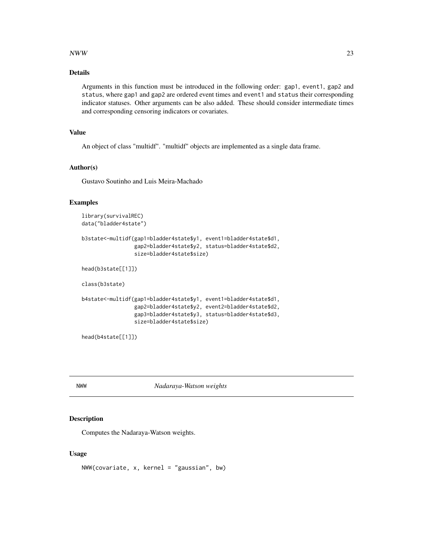### <span id="page-22-0"></span>NWW  $23$

### Details

Arguments in this function must be introduced in the following order: gap1, event1, gap2 and status, where gap1 and gap2 are ordered event times and event1 and status their corresponding indicator statuses. Other arguments can be also added. These should consider intermediate times and corresponding censoring indicators or covariates.

### Value

An object of class "multidf". "multidf" objects are implemented as a single data frame.

#### Author(s)

Gustavo Soutinho and Luis Meira-Machado

### Examples

```
library(survivalREC)
data("bladder4state")
```

```
b3state<-multidf(gap1=bladder4state$y1, event1=bladder4state$d1,
                 gap2=bladder4state$y2, status=bladder4state$d2,
                 size=bladder4state$size)
```

```
head(b3state[[1]])
```
class(b3state)

```
b4state<-multidf(gap1=bladder4state$y1, event1=bladder4state$d1,
                 gap2=bladder4state$y2, event2=bladder4state$d2,
                 gap3=bladder4state$y3, status=bladder4state$d3,
                 size=bladder4state$size)
```

```
head(b4state[[1]])
```
NWW *Nadaraya-Watson weights*

#### Description

Computes the Nadaraya-Watson weights.

#### Usage

NWW(covariate, x, kernel = "gaussian", bw)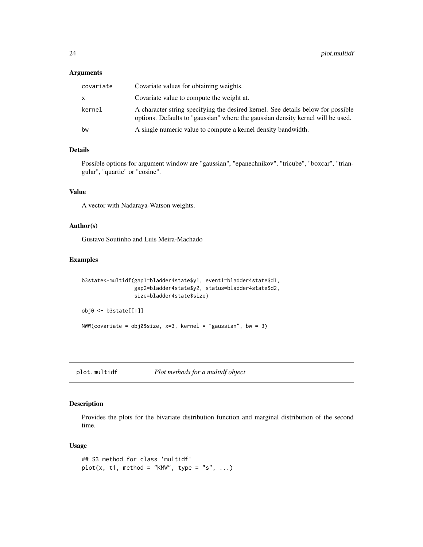### <span id="page-23-0"></span>Arguments

| covariate | Covariate values for obtaining weights.                                                                                                                             |
|-----------|---------------------------------------------------------------------------------------------------------------------------------------------------------------------|
| x.        | Covariate value to compute the weight at.                                                                                                                           |
| kernel    | A character string specifying the desired kernel. See details below for possible<br>options. Defaults to "gaussian" where the gaussian density kernel will be used. |
| bw        | A single numeric value to compute a kernel density bandwidth.                                                                                                       |

### Details

Possible options for argument window are "gaussian", "epanechnikov", "tricube", "boxcar", "triangular", "quartic" or "cosine".

### Value

A vector with Nadaraya-Watson weights.

### Author(s)

Gustavo Soutinho and Luis Meira-Machado

### Examples

```
b3state<-multidf(gap1=bladder4state$y1, event1=bladder4state$d1,
                 gap2=bladder4state$y2, status=bladder4state$d2,
                 size=bladder4state$size)
obj0 <- b3state[[1]]
```
 $NWW$ (covariate = obj0\$size, x=3, kernel = "gaussian", bw = 3)

plot.multidf *Plot methods for a multidf object*

### Description

Provides the plots for the bivariate distribution function and marginal distribution of the second time.

#### Usage

```
## S3 method for class 'multidf'
plot(x, t1, method = "KMW", type = "s", ...)
```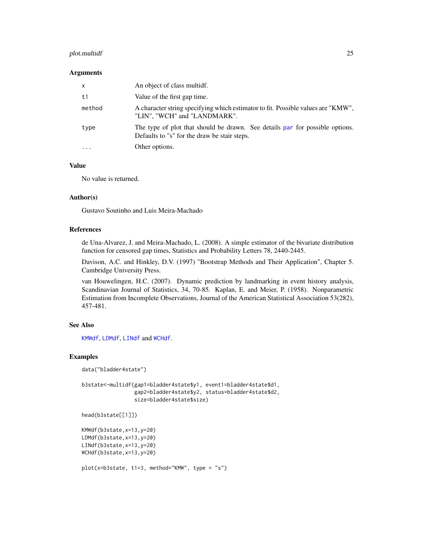### <span id="page-24-0"></span>plot.multidf 25

#### **Arguments**

| $\mathsf{x}$ | An object of class multidf.                                                                                                  |
|--------------|------------------------------------------------------------------------------------------------------------------------------|
| t1           | Value of the first gap time.                                                                                                 |
| method       | A character string specifying which estimator to fit. Possible values are "KMW",<br>"LIN", "WCH" and "LANDMARK".             |
| type         | The type of plot that should be drawn. See details par for possible options.<br>Defaults to "s" for the draw be stair steps. |
|              | Other options.                                                                                                               |

#### Value

No value is returned.

### Author(s)

Gustavo Soutinho and Luis Meira-Machado

#### References

de Una-Alvarez, J. and Meira-Machado, L. (2008). A simple estimator of the bivariate distribution function for censored gap times, Statistics and Probability Letters 78, 2440-2445.

Davison, A.C. and Hinkley, D.V. (1997) "Bootstrap Methods and Their Application", Chapter 5. Cambridge University Press.

van Houwelingen, H.C. (2007). Dynamic prediction by landmarking in event history analysis, Scandinavian Journal of Statistics, 34, 70-85. Kaplan, E. and Meier, P. (1958). Nonparametric Estimation from Incomplete Observations, Journal of the American Statistical Association 53(282), 457-481.

#### See Also

[KMWdf](#page-16-1), [LDMdf](#page-18-1), [LINdf](#page-20-1) and [WCHdf](#page-26-1).

#### Examples

data("bladder4state")

```
b3state<-multidf(gap1=bladder4state$y1, event1=bladder4state$d1,
                gap2=bladder4state$y2, status=bladder4state$d2,
                size=bladder4state$size)
```

```
head(b3state[[1]])
```

```
KMWdf(b3state,x=13,y=20)
LDMdf(b3state,x=13,y=20)
LINdf(b3state,x=13,y=20)
WCHdf(b3state,x=13,y=20)
```

```
plot(x=b3state, t1=3, method="KMW", type = "s")
```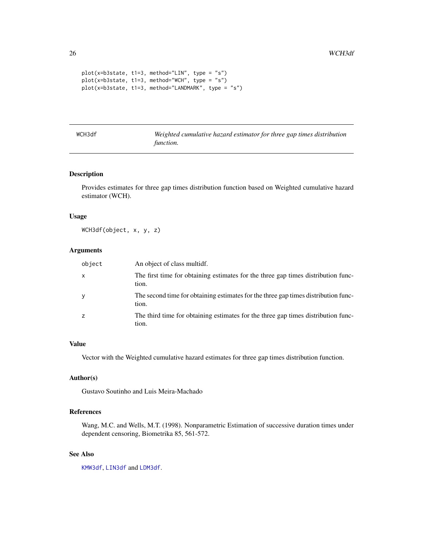```
plot(x=b3state, t1=3, method="LIN", type = "s")
plot(x=b3state, t1=3, method="WCH", type = "s")
plot(x=b3state, t1=3, method="LANDMARK", type = "s")
```
<span id="page-25-1"></span>

| WCH3df |  |  |
|--------|--|--|
|        |  |  |

Weighted cumulative hazard estimator for three gap times distribution *function.*

### Description

Provides estimates for three gap times distribution function based on Weighted cumulative hazard estimator (WCH).

#### Usage

WCH3df(object, x, y, z)

### Arguments

| object | An object of class multidf.                                                                 |
|--------|---------------------------------------------------------------------------------------------|
| X      | The first time for obtaining estimates for the three gap times distribution func-<br>tion.  |
| y      | The second time for obtaining estimates for the three gap times distribution func-<br>tion. |
| z      | The third time for obtaining estimates for the three gap times distribution func-<br>tion.  |

#### Value

Vector with the Weighted cumulative hazard estimates for three gap times distribution function.

#### Author(s)

Gustavo Soutinho and Luis Meira-Machado

#### References

Wang, M.C. and Wells, M.T. (1998). Nonparametric Estimation of successive duration times under dependent censoring, Biometrika 85, 561-572.

### See Also

[KMW3df](#page-15-1), [LIN3df](#page-19-1) and [LDM3df](#page-17-1).

<span id="page-25-0"></span>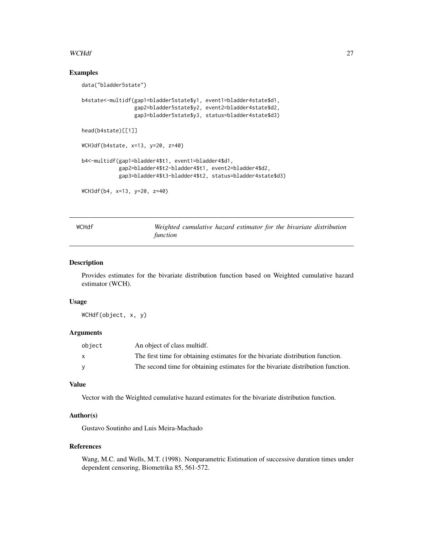#### <span id="page-26-0"></span>WCHdf 27

#### Examples

```
data("bladder5state")
b4state<-multidf(gap1=bladder5state$y1, event1=bladder4state$d1,
                 gap2=bladder5state$y2, event2=bladder4state$d2,
                 gap3=bladder5state$y3, status=bladder4state$d3)
head(b4state)[[1]]
WCH3df(b4state, x=13, y=20, z=40)
b4<-multidf(gap1=bladder4$t1, event1=bladder4$d1,
            gap2=bladder4$t2-bladder4$t1, event2=bladder4$d2,
            gap3=bladder4$t3-bladder4$t2, status=bladder4state$d3)
WCH3df(b4, x=13, y=20, z=40)
```
<span id="page-26-1"></span>

WCHdf *Weighted cumulative hazard estimator for the bivariate distribution function*

#### Description

Provides estimates for the bivariate distribution function based on Weighted cumulative hazard estimator (WCH).

#### Usage

WCHdf(object, x, y)

### Arguments

| object | An object of class multidf.                                                      |
|--------|----------------------------------------------------------------------------------|
|        | The first time for obtaining estimates for the bivariate distribution function.  |
|        | The second time for obtaining estimates for the bivariate distribution function. |

### Value

Vector with the Weighted cumulative hazard estimates for the bivariate distribution function.

#### Author(s)

Gustavo Soutinho and Luis Meira-Machado

#### References

Wang, M.C. and Wells, M.T. (1998). Nonparametric Estimation of successive duration times under dependent censoring, Biometrika 85, 561-572.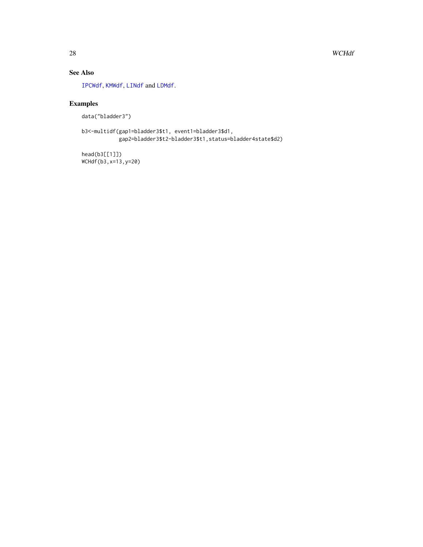### <span id="page-27-0"></span>See Also

[IPCWdf](#page-11-1), [KMWdf](#page-16-1), [LINdf](#page-20-1) and [LDMdf](#page-18-1).

## Examples

```
data("bladder3")
```
b3<-multidf(gap1=bladder3\$t1, event1=bladder3\$d1, gap2=bladder3\$t2-bladder3\$t1,status=bladder4state\$d2)

head(b3[[1]]) WCHdf(b3,x=13,y=20)